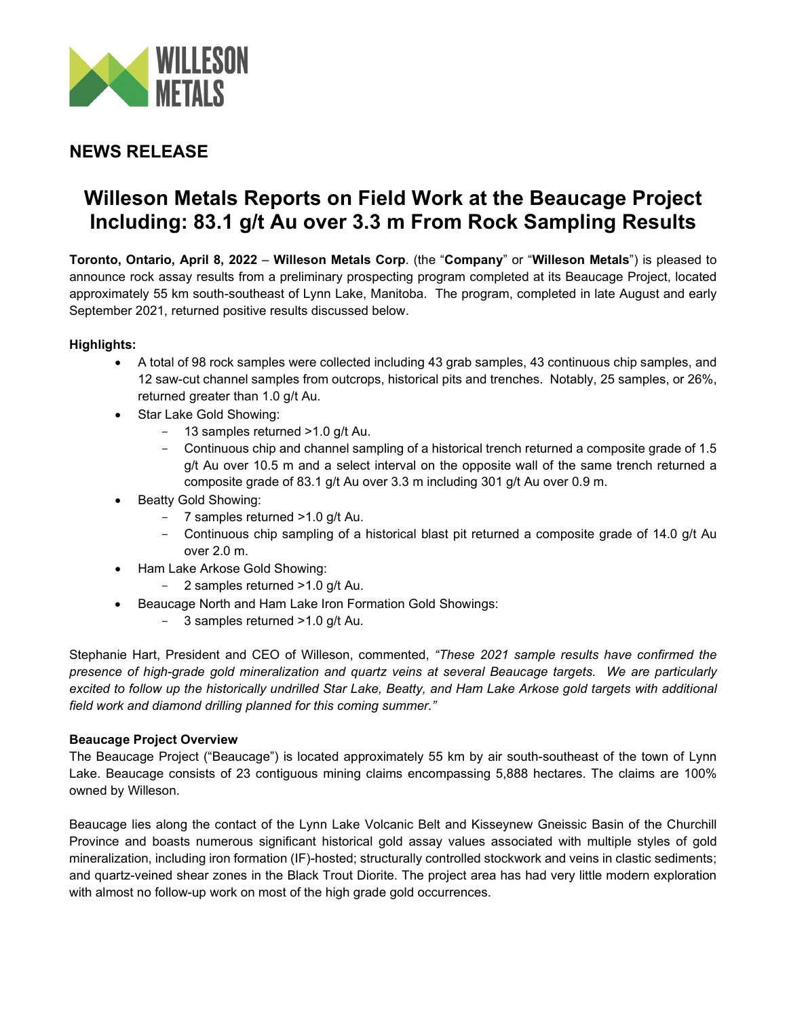

# **NEWS RELEASE**

# **Willeson Metals Reports on Field Work at the Beaucage Project Including: 83.1 g/t Au over 3.3 m From Rock Sampling Results**

**Toronto, Ontario, April 8, 2022** – **Willeson Metals Corp**. (the "**Company**" or "**Willeson Metals**") is pleased to announce rock assay results from a preliminary prospecting program completed at its Beaucage Project, located approximately 55 km south-southeast of Lynn Lake, Manitoba. The program, completed in late August and early September 2021, returned positive results discussed below.

# **Highlights:**

- A total of 98 rock samples were collected including 43 grab samples, 43 continuous chip samples, and 12 saw-cut channel samples from outcrops, historical pits and trenches. Notably, 25 samples, or 26%, returned greater than 1.0 g/t Au.
- Star Lake Gold Showing:
	- 13 samples returned > 1.0 g/t Au.
	- Continuous chip and channel sampling of a historical trench returned a composite grade of 1.5 g/t Au over 10.5 m and a select interval on the opposite wall of the same trench returned a composite grade of 83.1 g/t Au over 3.3 m including 301 g/t Au over 0.9 m.
- Beatty Gold Showing:
	- 7 samples returned >1.0 g/t Au.
	- Continuous chip sampling of a historical blast pit returned a composite grade of 14.0 g/t Au over 2.0 m.
- Ham Lake Arkose Gold Showing:
	- 2 samples returned > 1.0 g/t Au.
- Beaucage North and Ham Lake Iron Formation Gold Showings:
	- 3 samples returned > 1.0 g/t Au.

Stephanie Hart, President and CEO of Willeson, commented, *"These 2021 sample results have confirmed the presence of high-grade gold mineralization and quartz veins at several Beaucage targets. We are particularly excited to follow up the historically undrilled Star Lake, Beatty, and Ham Lake Arkose gold targets with additional field work and diamond drilling planned for this coming summer."* 

## **Beaucage Project Overview**

The Beaucage Project ("Beaucage") is located approximately 55 km by air south-southeast of the town of Lynn Lake. Beaucage consists of 23 contiguous mining claims encompassing 5,888 hectares. The claims are 100% owned by Willeson.

Beaucage lies along the contact of the Lynn Lake Volcanic Belt and Kisseynew Gneissic Basin of the Churchill Province and boasts numerous significant historical gold assay values associated with multiple styles of gold mineralization, including iron formation (IF)-hosted; structurally controlled stockwork and veins in clastic sediments; and quartz-veined shear zones in the Black Trout Diorite. The project area has had very little modern exploration with almost no follow-up work on most of the high grade gold occurrences.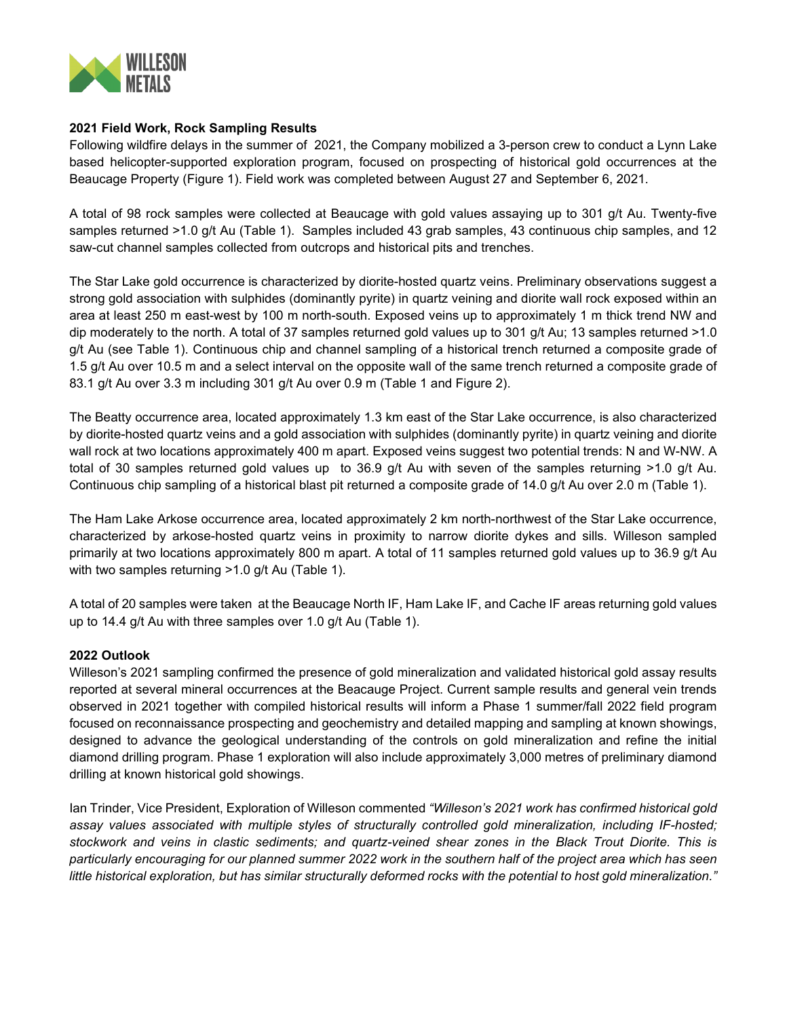

### **2021 Field Work, Rock Sampling Results**

Following wildfire delays in the summer of 2021, the Company mobilized a 3-person crew to conduct a Lynn Lake based helicopter-supported exploration program, focused on prospecting of historical gold occurrences at the Beaucage Property (Figure 1). Field work was completed between August 27 and September 6, 2021.

A total of 98 rock samples were collected at Beaucage with gold values assaying up to 301 g/t Au. Twenty-five samples returned >1.0 g/t Au (Table 1). Samples included 43 grab samples, 43 continuous chip samples, and 12 saw-cut channel samples collected from outcrops and historical pits and trenches.

The Star Lake gold occurrence is characterized by diorite-hosted quartz veins. Preliminary observations suggest a strong gold association with sulphides (dominantly pyrite) in quartz veining and diorite wall rock exposed within an area at least 250 m east-west by 100 m north-south. Exposed veins up to approximately 1 m thick trend NW and dip moderately to the north. A total of 37 samples returned gold values up to 301 g/t Au; 13 samples returned >1.0 g/t Au (see Table 1). Continuous chip and channel sampling of a historical trench returned a composite grade of 1.5 g/t Au over 10.5 m and a select interval on the opposite wall of the same trench returned a composite grade of 83.1 g/t Au over 3.3 m including 301 g/t Au over 0.9 m (Table 1 and Figure 2).

The Beatty occurrence area, located approximately 1.3 km east of the Star Lake occurrence, is also characterized by diorite-hosted quartz veins and a gold association with sulphides (dominantly pyrite) in quartz veining and diorite wall rock at two locations approximately 400 m apart. Exposed veins suggest two potential trends: N and W-NW. A total of 30 samples returned gold values up to 36.9 g/t Au with seven of the samples returning >1.0 g/t Au. Continuous chip sampling of a historical blast pit returned a composite grade of 14.0 g/t Au over 2.0 m (Table 1).

The Ham Lake Arkose occurrence area, located approximately 2 km north-northwest of the Star Lake occurrence, characterized by arkose-hosted quartz veins in proximity to narrow diorite dykes and sills. Willeson sampled primarily at two locations approximately 800 m apart. A total of 11 samples returned gold values up to 36.9 g/t Au with two samples returning >1.0 g/t Au (Table 1).

A total of 20 samples were taken at the Beaucage North IF, Ham Lake IF, and Cache IF areas returning gold values up to 14.4 g/t Au with three samples over 1.0 g/t Au (Table 1).

#### **2022 Outlook**

Willeson's 2021 sampling confirmed the presence of gold mineralization and validated historical gold assay results reported at several mineral occurrences at the Beacauge Project. Current sample results and general vein trends observed in 2021 together with compiled historical results will inform a Phase 1 summer/fall 2022 field program focused on reconnaissance prospecting and geochemistry and detailed mapping and sampling at known showings, designed to advance the geological understanding of the controls on gold mineralization and refine the initial diamond drilling program. Phase 1 exploration will also include approximately 3,000 metres of preliminary diamond drilling at known historical gold showings.

Ian Trinder, Vice President, Exploration of Willeson commented *"Willeson's 2021 work has confirmed historical gold assay values associated with multiple styles of structurally controlled gold mineralization, including IF-hosted; stockwork and veins in clastic sediments; and quartz-veined shear zones in the Black Trout Diorite. This is particularly encouraging for our planned summer 2022 work in the southern half of the project area which has seen little historical exploration, but has similar structurally deformed rocks with the potential to host gold mineralization."*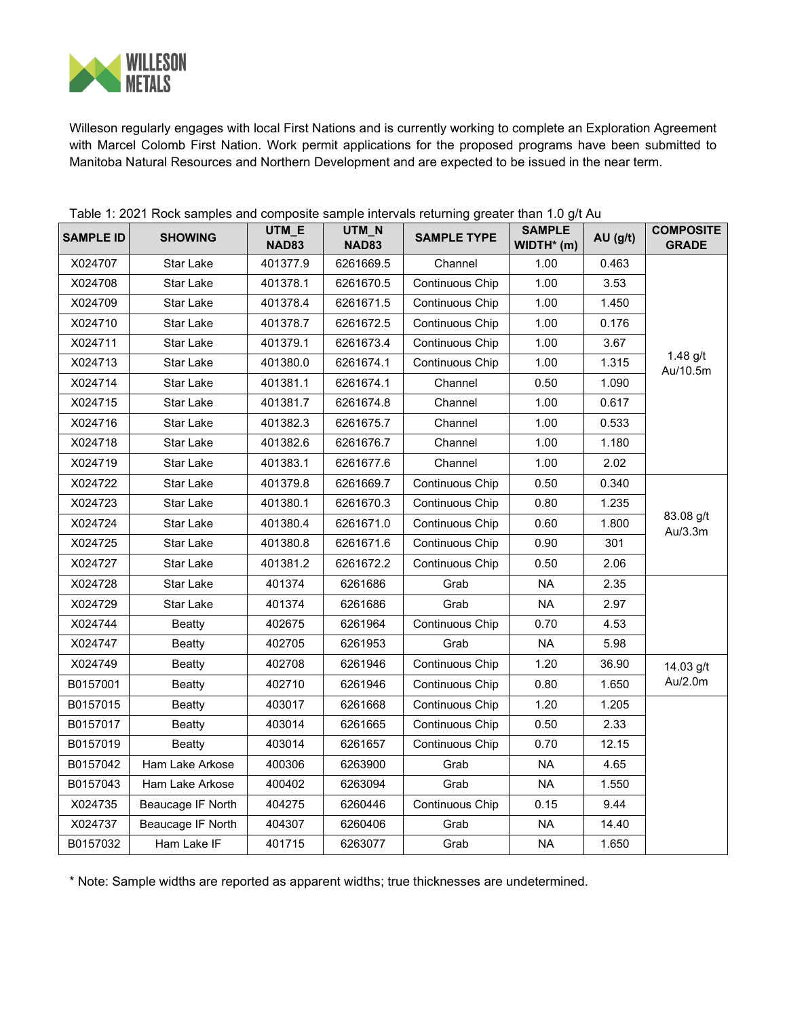

Willeson regularly engages with local First Nations and is currently working to complete an Exploration Agreement with Marcel Colomb First Nation. Work permit applications for the proposed programs have been submitted to Manitoba Natural Resources and Northern Development and are expected to be issued in the near term.

|                  | rapid in EdE in Rock campios and composite campio intervals retaining greater than no give ta<br><b>SHOWING</b> | UTM_E        | UTM_N        | <b>SAMPLE TYPE</b>     | <b>SAMPLE</b> |        | <b>COMPOSITE</b>       |
|------------------|-----------------------------------------------------------------------------------------------------------------|--------------|--------------|------------------------|---------------|--------|------------------------|
| <b>SAMPLE ID</b> |                                                                                                                 | <b>NAD83</b> | <b>NAD83</b> |                        | $WIDTH*$ (m)  | AU(gh) | <b>GRADE</b>           |
| X024707          | Star Lake                                                                                                       | 401377.9     | 6261669.5    | Channel                | 1.00          | 0.463  | 1.48 $g/t$<br>Au/10.5m |
| X024708          | Star Lake                                                                                                       | 401378.1     | 6261670.5    | Continuous Chip        | 1.00          | 3.53   |                        |
| X024709          | Star Lake                                                                                                       | 401378.4     | 6261671.5    | Continuous Chip        | 1.00          | 1.450  |                        |
| X024710          | Star Lake                                                                                                       | 401378.7     | 6261672.5    | Continuous Chip        | 1.00          | 0.176  |                        |
| X024711          | Star Lake                                                                                                       | 401379.1     | 6261673.4    | Continuous Chip        | 1.00          | 3.67   |                        |
| X024713          | Star Lake                                                                                                       | 401380.0     | 6261674.1    | Continuous Chip        | 1.00          | 1.315  |                        |
| X024714          | Star Lake                                                                                                       | 401381.1     | 6261674.1    | Channel                | 0.50          | 1.090  |                        |
| X024715          | Star Lake                                                                                                       | 401381.7     | 6261674.8    | Channel                | 1.00          | 0.617  |                        |
| X024716          | Star Lake                                                                                                       | 401382.3     | 6261675.7    | Channel                | 1.00          | 0.533  |                        |
| X024718          | Star Lake                                                                                                       | 401382.6     | 6261676.7    | Channel                | 1.00          | 1.180  |                        |
| X024719          | Star Lake                                                                                                       | 401383.1     | 6261677.6    | Channel                | 1.00          | 2.02   |                        |
| X024722          | Star Lake                                                                                                       | 401379.8     | 6261669.7    | Continuous Chip        | 0.50          | 0.340  | 83.08 g/t<br>Au/3.3m   |
| X024723          | Star Lake                                                                                                       | 401380.1     | 6261670.3    | Continuous Chip        | 0.80          | 1.235  |                        |
| X024724          | Star Lake                                                                                                       | 401380.4     | 6261671.0    | Continuous Chip        | 0.60          | 1.800  |                        |
| X024725          | Star Lake                                                                                                       | 401380.8     | 6261671.6    | Continuous Chip        | 0.90          | 301    |                        |
| X024727          | Star Lake                                                                                                       | 401381.2     | 6261672.2    | Continuous Chip        | 0.50          | 2.06   |                        |
| X024728          | Star Lake                                                                                                       | 401374       | 6261686      | Grab                   | <b>NA</b>     | 2.35   |                        |
| X024729          | Star Lake                                                                                                       | 401374       | 6261686      | Grab                   | <b>NA</b>     | 2.97   |                        |
| X024744          | <b>Beatty</b>                                                                                                   | 402675       | 6261964      | Continuous Chip        | 0.70          | 4.53   |                        |
| X024747          | <b>Beatty</b>                                                                                                   | 402705       | 6261953      | Grab                   | <b>NA</b>     | 5.98   |                        |
| X024749          | Beatty                                                                                                          | 402708       | 6261946      | Continuous Chip        | 1.20          | 36.90  | 14.03 g/t              |
| B0157001         | <b>Beatty</b>                                                                                                   | 402710       | 6261946      | Continuous Chip        | 0.80          | 1.650  | Au/2.0m                |
| B0157015         | <b>Beatty</b>                                                                                                   | 403017       | 6261668      | Continuous Chip        | 1.20          | 1.205  |                        |
| B0157017         | <b>Beatty</b>                                                                                                   | 403014       | 6261665      | <b>Continuous Chip</b> | 0.50          | 2.33   |                        |
| B0157019         | <b>Beatty</b>                                                                                                   | 403014       | 6261657      | Continuous Chip        | 0.70          | 12.15  |                        |
| B0157042         | Ham Lake Arkose                                                                                                 | 400306       | 6263900      | Grab                   | <b>NA</b>     | 4.65   |                        |
| B0157043         | Ham Lake Arkose                                                                                                 | 400402       | 6263094      | Grab                   | <b>NA</b>     | 1.550  |                        |
| X024735          | Beaucage IF North                                                                                               | 404275       | 6260446      | Continuous Chip        | 0.15          | 9.44   |                        |
| X024737          | Beaucage IF North                                                                                               | 404307       | 6260406      | Grab                   | <b>NA</b>     | 14.40  |                        |
| B0157032         | Ham Lake IF                                                                                                     | 401715       | 6263077      | Grab                   | <b>NA</b>     | 1.650  |                        |

Table 1: 2021 Rock samples and composite sample intervals returning greater than 1.0 g/t Au

\* Note: Sample widths are reported as apparent widths; true thicknesses are undetermined.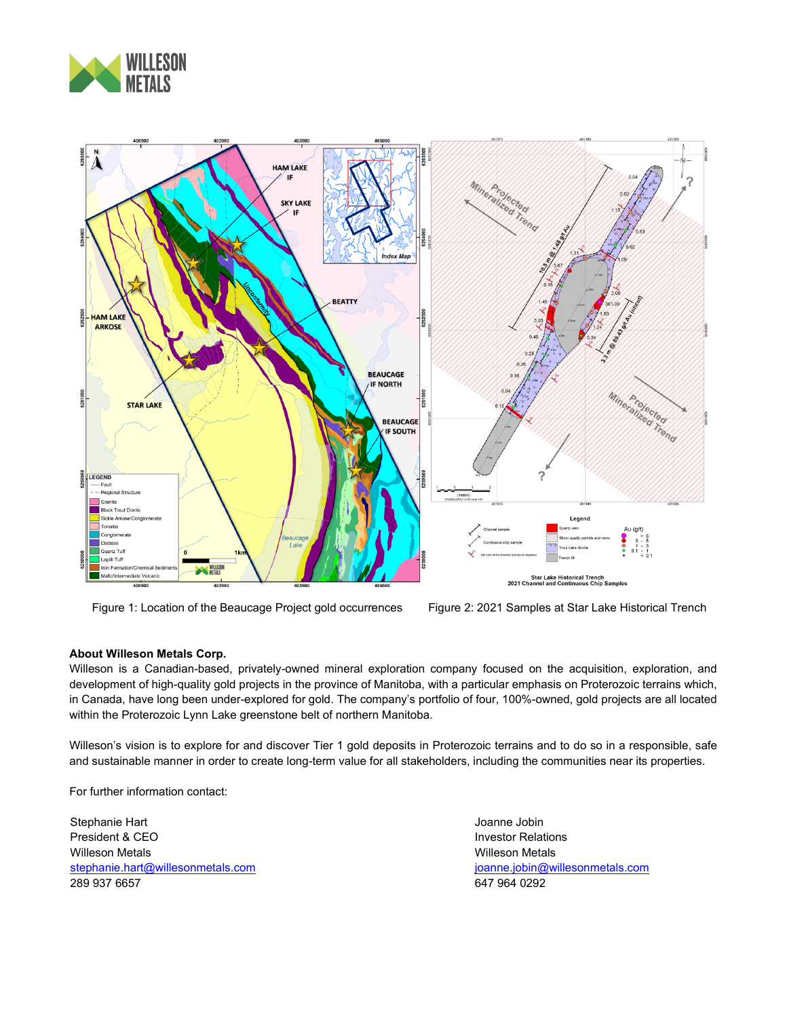



Figure 1: Location of the Beaucage Project gold occurrences Figure 2: 2021 Samples at Star Lake Historical Trench

#### **About Willeson Metals Corp.**

Willeson is a Canadian-based, privately-owned mineral exploration company focused on the acquisition, exploration, and development of high-quality gold projects in the province of Manitoba, with a particular emphasis on Proterozoic terrains which, in Canada, have long been under-explored for gold. The company's portfolio of four, 100%-owned, gold projects are all located within the Proterozoic Lynn Lake greenstone belt of northern Manitoba.

Willeson's vision is to explore for and discover Tier 1 gold deposits in Proterozoic terrains and to do so in a responsible, safe and sustainable manner in order to create long-term value for all stakeholders, including the communities near its properties.

For further information contact:

Stephanie Hart President & CEO Willeson Metals [stephanie.hart@willesonmetals.com](mailto:stephanie.hart@willesonmetals.com) 289 937 6657

Joanne Jobin Investor Relations Willeson Metals [joanne.jobin@willesonmetals.com](mailto:joanne.jobin@willesonmetals.com) 647 964 0292